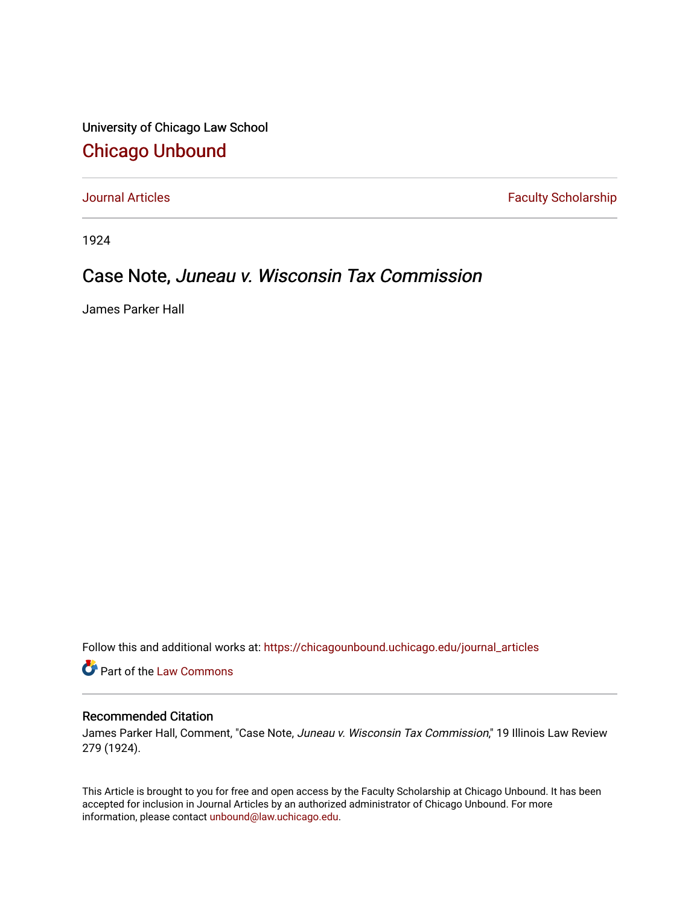University of Chicago Law School [Chicago Unbound](https://chicagounbound.uchicago.edu/)

[Journal Articles](https://chicagounbound.uchicago.edu/journal_articles) **Faculty Scholarship Faculty Scholarship** 

1924

## Case Note, Juneau v. Wisconsin Tax Commission

James Parker Hall

Follow this and additional works at: [https://chicagounbound.uchicago.edu/journal\\_articles](https://chicagounbound.uchicago.edu/journal_articles?utm_source=chicagounbound.uchicago.edu%2Fjournal_articles%2F8984&utm_medium=PDF&utm_campaign=PDFCoverPages) 

Part of the [Law Commons](http://network.bepress.com/hgg/discipline/578?utm_source=chicagounbound.uchicago.edu%2Fjournal_articles%2F8984&utm_medium=PDF&utm_campaign=PDFCoverPages)

## Recommended Citation

James Parker Hall, Comment, "Case Note, Juneau v. Wisconsin Tax Commission," 19 Illinois Law Review 279 (1924).

This Article is brought to you for free and open access by the Faculty Scholarship at Chicago Unbound. It has been accepted for inclusion in Journal Articles by an authorized administrator of Chicago Unbound. For more information, please contact [unbound@law.uchicago.edu](mailto:unbound@law.uchicago.edu).